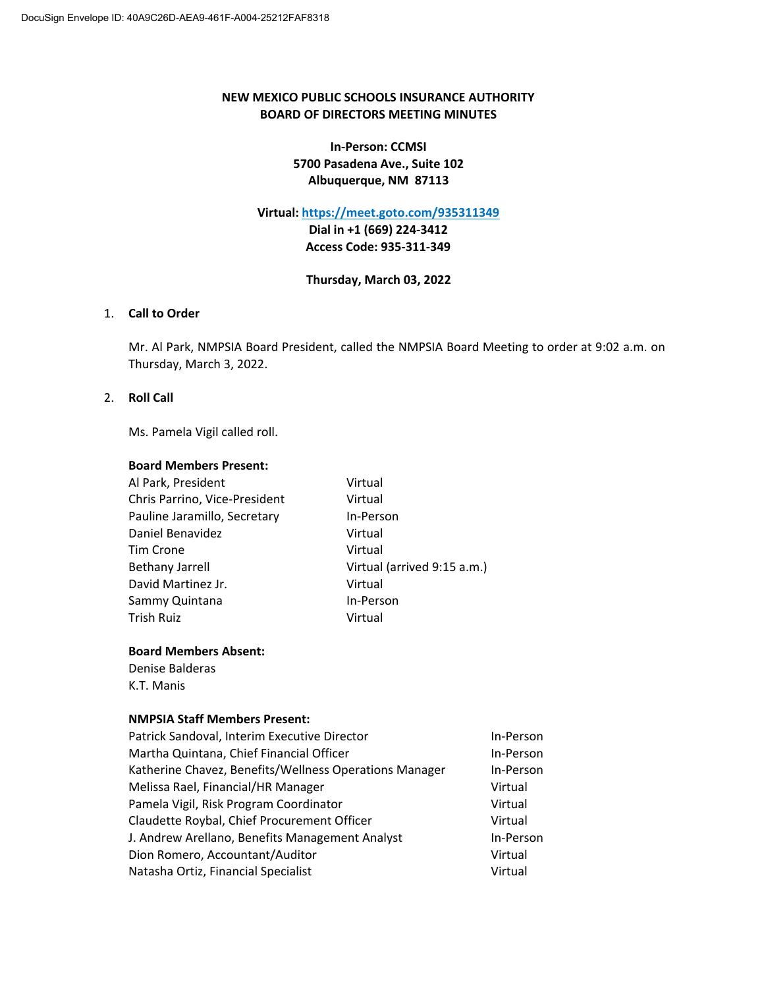# **NEW MEXICO PUBLIC SCHOOLS INSURANCE AUTHORITY BOARD OF DIRECTORS MEETING MINUTES**

**In‐Person: CCMSI 5700 Pasadena Ave., Suite 102 Albuquerque, NM 87113**

## **Virtual: https://meet.goto.com/935311349**

**Dial in +1 (669) 224‐3412 Access Code: 935‐311‐349**

## **Thursday, March 03, 2022**

## 1. **Call to Order**

Mr. Al Park, NMPSIA Board President, called the NMPSIA Board Meeting to order at 9:02 a.m. on Thursday, March 3, 2022.

# 2. **Roll Call**

Ms. Pamela Vigil called roll.

### **Board Members Present:**

| Al Park, President            | Virtual                     |
|-------------------------------|-----------------------------|
| Chris Parrino, Vice-President | Virtual                     |
| Pauline Jaramillo, Secretary  | In-Person                   |
| Daniel Benavidez              | Virtual                     |
| Tim Crone                     | Virtual                     |
| <b>Bethany Jarrell</b>        | Virtual (arrived 9:15 a.m.) |
| David Martinez Jr.            | Virtual                     |
| Sammy Quintana                | In-Person                   |
| Trish Ruiz                    | Virtual                     |
|                               |                             |

# **Board Members Absent:**

Denise Balderas K.T. Manis

## **NMPSIA Staff Members Present:**

| Patrick Sandoval, Interim Executive Director           | In-Person |
|--------------------------------------------------------|-----------|
| Martha Quintana, Chief Financial Officer               | In-Person |
| Katherine Chavez, Benefits/Wellness Operations Manager | In-Person |
| Melissa Rael, Financial/HR Manager                     | Virtual   |
| Pamela Vigil, Risk Program Coordinator                 | Virtual   |
| Claudette Roybal, Chief Procurement Officer            | Virtual   |
| J. Andrew Arellano, Benefits Management Analyst        | In-Person |
| Dion Romero, Accountant/Auditor                        | Virtual   |
| Natasha Ortiz, Financial Specialist                    | Virtual   |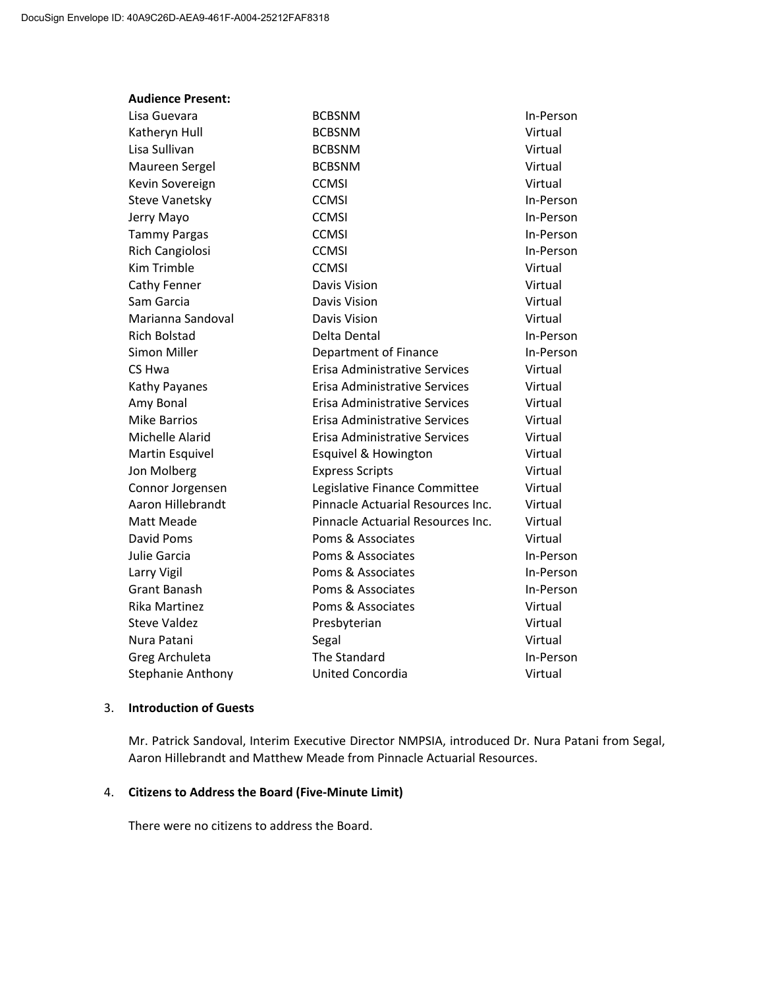| <b>Audience Present:</b> |                                      |           |
|--------------------------|--------------------------------------|-----------|
| Lisa Guevara             | <b>BCBSNM</b>                        | In-Person |
| Katheryn Hull            | <b>BCBSNM</b>                        | Virtual   |
| Lisa Sullivan            | <b>BCBSNM</b>                        | Virtual   |
| Maureen Sergel           | <b>BCBSNM</b>                        | Virtual   |
| Kevin Sovereign          | <b>CCMSI</b>                         | Virtual   |
| <b>Steve Vanetsky</b>    | <b>CCMSI</b>                         | In-Person |
| Jerry Mayo               | <b>CCMSI</b>                         | In-Person |
| <b>Tammy Pargas</b>      | <b>CCMSI</b>                         | In-Person |
| Rich Cangiolosi          | <b>CCMSI</b>                         | In-Person |
| Kim Trimble              | <b>CCMSI</b>                         | Virtual   |
| Cathy Fenner             | Davis Vision                         | Virtual   |
| Sam Garcia               | Davis Vision                         | Virtual   |
| Marianna Sandoval        | Davis Vision                         | Virtual   |
| <b>Rich Bolstad</b>      | Delta Dental                         | In-Person |
| Simon Miller             | Department of Finance                | In-Person |
| CS Hwa                   | <b>Erisa Administrative Services</b> | Virtual   |
| Kathy Payanes            | Erisa Administrative Services        | Virtual   |
| Amy Bonal                | Erisa Administrative Services        | Virtual   |
| <b>Mike Barrios</b>      | Erisa Administrative Services        | Virtual   |
| Michelle Alarid          | Erisa Administrative Services        | Virtual   |
| Martin Esquivel          | Esquivel & Howington                 | Virtual   |
| Jon Molberg              | <b>Express Scripts</b>               | Virtual   |
| Connor Jorgensen         | Legislative Finance Committee        | Virtual   |
| Aaron Hillebrandt        | Pinnacle Actuarial Resources Inc.    | Virtual   |
| Matt Meade               | Pinnacle Actuarial Resources Inc.    | Virtual   |
| David Poms               | Poms & Associates                    | Virtual   |
| Julie Garcia             | Poms & Associates                    | In-Person |
| Larry Vigil              | Poms & Associates                    | In-Person |
| Grant Banash             | Poms & Associates                    | In-Person |
| Rika Martinez            | Poms & Associates                    | Virtual   |
| <b>Steve Valdez</b>      | Presbyterian                         | Virtual   |
| Nura Patani              | Segal                                | Virtual   |
| Greg Archuleta           | <b>The Standard</b>                  | In-Person |
| <b>Stephanie Anthony</b> | <b>United Concordia</b>              | Virtual   |

## 3. **Introduction of Guests**

Mr. Patrick Sandoval, Interim Executive Director NMPSIA, introduced Dr. Nura Patani from Segal, Aaron Hillebrandt and Matthew Meade from Pinnacle Actuarial Resources.

## 4. **Citizens to Address the Board (Five‐Minute Limit)**

There were no citizens to address the Board.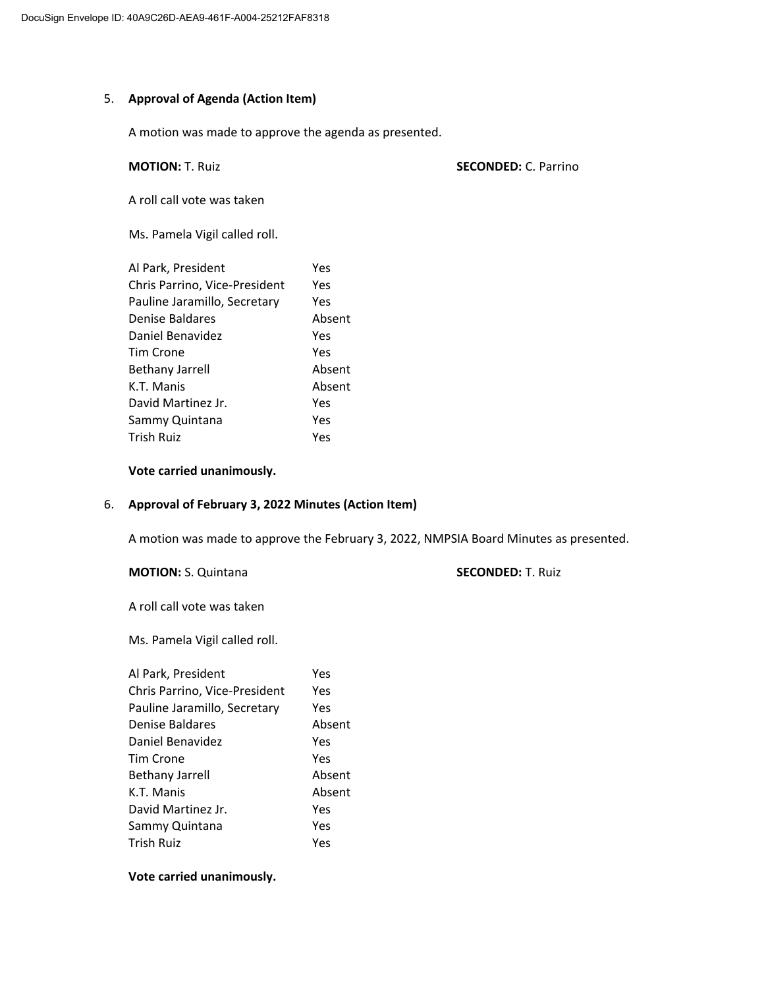# 5. **Approval of Agenda (Action Item)**

A motion was made to approve the agenda as presented.

## **MOTION:** T. Ruiz **SECONDED:** C. Parrino

A roll call vote was taken

Ms. Pamela Vigil called roll.

| Al Park, President            | Yes    |
|-------------------------------|--------|
| Chris Parrino, Vice-President | Yes    |
| Pauline Jaramillo, Secretary  | Yes    |
| Denise Baldares               | Absent |
| Daniel Benavidez              | Yes    |
| Tim Crone                     | Yes    |
| <b>Bethany Jarrell</b>        | Absent |
| K.T. Manis                    | Absent |
| David Martinez Jr.            | Yes    |
| Sammy Quintana                | Yes    |
| <b>Trish Ruiz</b>             | Yes    |

## **Vote carried unanimously.**

# 6. **Approval of February 3, 2022 Minutes (Action Item)**

A motion was made to approve the February 3, 2022, NMPSIA Board Minutes as presented.

**MOTION:** S. Quintana **SECONDED:** T. Ruiz

A roll call vote was taken

Ms. Pamela Vigil called roll.

| Al Park, President            | Yes    |
|-------------------------------|--------|
| Chris Parrino, Vice-President | Yes    |
| Pauline Jaramillo, Secretary  | Yes    |
| Denise Baldares               | Absent |
| Daniel Benavidez              | Yes    |
| Tim Crone                     | Yes    |
| <b>Bethany Jarrell</b>        | Absent |
| K.T. Manis                    | Absent |
| David Martinez Jr.            | Yes    |
| Sammy Quintana                | Yes    |
| <b>Trish Ruiz</b>             | Yes    |
|                               |        |

**Vote carried unanimously.**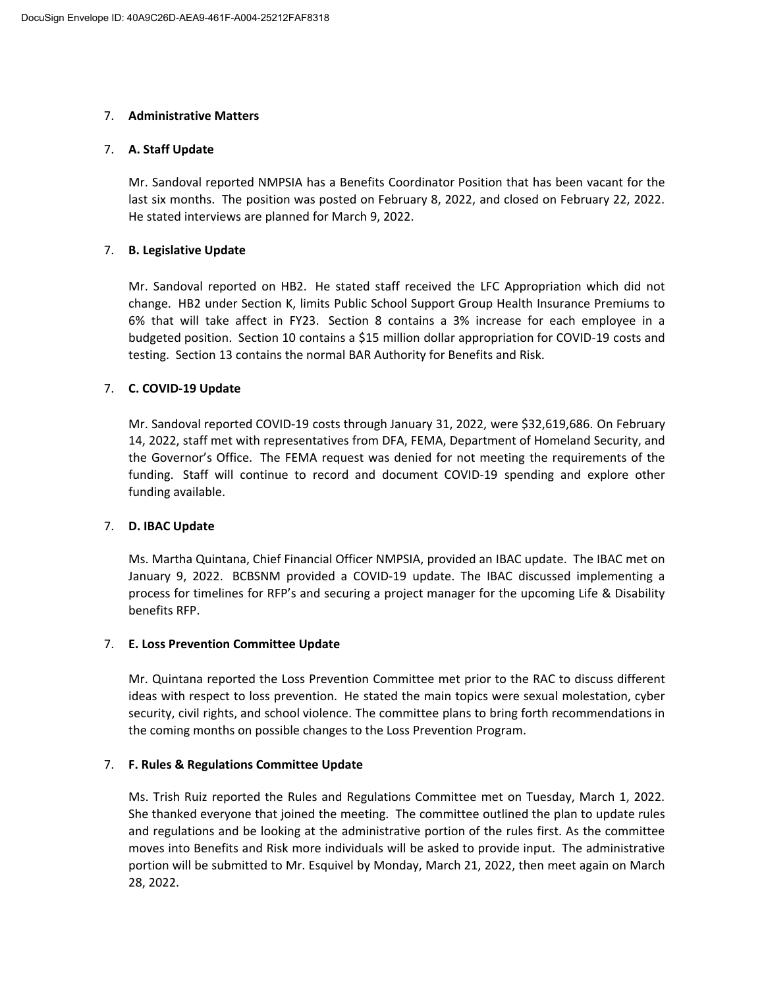# 7. **Administrative Matters**

# 7. **A. Staff Update**

Mr. Sandoval reported NMPSIA has a Benefits Coordinator Position that has been vacant for the last six months. The position was posted on February 8, 2022, and closed on February 22, 2022. He stated interviews are planned for March 9, 2022.

# 7. **B. Legislative Update**

Mr. Sandoval reported on HB2. He stated staff received the LFC Appropriation which did not change. HB2 under Section K, limits Public School Support Group Health Insurance Premiums to 6% that will take affect in FY23. Section 8 contains a 3% increase for each employee in a budgeted position. Section 10 contains a \$15 million dollar appropriation for COVID‐19 costs and testing. Section 13 contains the normal BAR Authority for Benefits and Risk.

# 7. **C. COVID‐19 Update**

Mr. Sandoval reported COVID‐19 costs through January 31, 2022, were \$32,619,686. On February 14, 2022, staff met with representatives from DFA, FEMA, Department of Homeland Security, and the Governor's Office. The FEMA request was denied for not meeting the requirements of the funding. Staff will continue to record and document COVID‐19 spending and explore other funding available.

# 7. **D. IBAC Update**

Ms. Martha Quintana, Chief Financial Officer NMPSIA, provided an IBAC update. The IBAC met on January 9, 2022. BCBSNM provided a COVID‐19 update. The IBAC discussed implementing a process for timelines for RFP's and securing a project manager for the upcoming Life & Disability benefits RFP.

# 7. **E. Loss Prevention Committee Update**

Mr. Quintana reported the Loss Prevention Committee met prior to the RAC to discuss different ideas with respect to loss prevention. He stated the main topics were sexual molestation, cyber security, civil rights, and school violence. The committee plans to bring forth recommendations in the coming months on possible changes to the Loss Prevention Program.

# 7. **F. Rules & Regulations Committee Update**

Ms. Trish Ruiz reported the Rules and Regulations Committee met on Tuesday, March 1, 2022. She thanked everyone that joined the meeting. The committee outlined the plan to update rules and regulations and be looking at the administrative portion of the rules first. As the committee moves into Benefits and Risk more individuals will be asked to provide input. The administrative portion will be submitted to Mr. Esquivel by Monday, March 21, 2022, then meet again on March 28, 2022.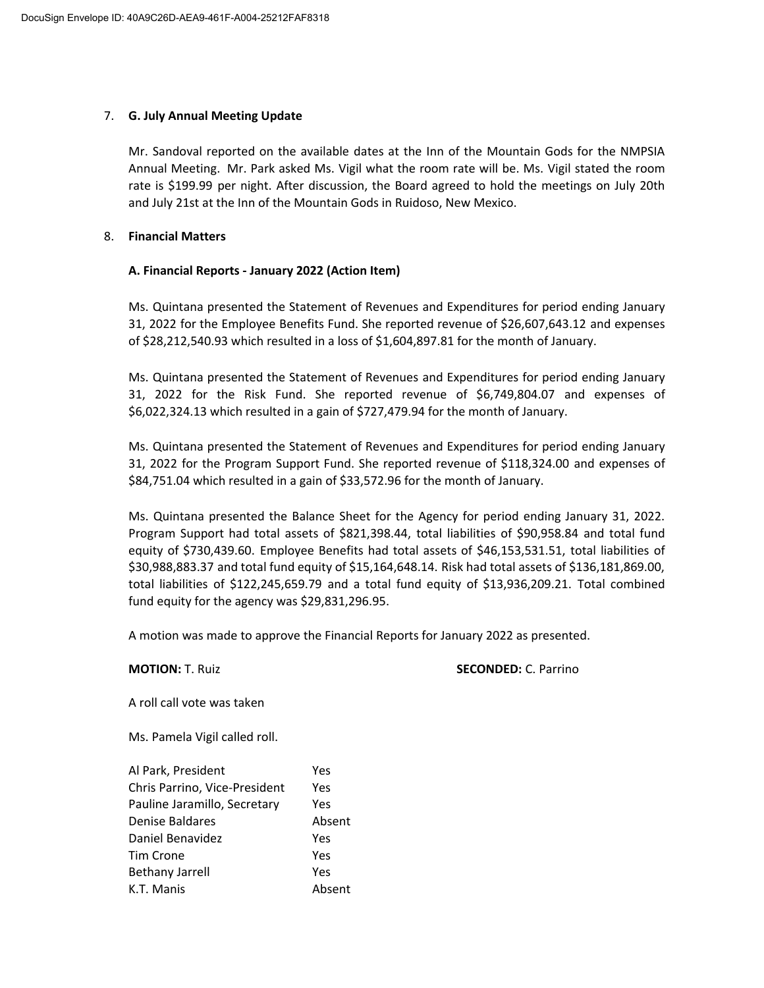# 7. **G. July Annual Meeting Update**

Mr. Sandoval reported on the available dates at the Inn of the Mountain Gods for the NMPSIA Annual Meeting. Mr. Park asked Ms. Vigil what the room rate will be. Ms. Vigil stated the room rate is \$199.99 per night. After discussion, the Board agreed to hold the meetings on July 20th and July 21st at the Inn of the Mountain Gods in Ruidoso, New Mexico.

# 8. **Financial Matters**

# **A. Financial Reports ‐ January 2022 (Action Item)**

Ms. Quintana presented the Statement of Revenues and Expenditures for period ending January 31, 2022 for the Employee Benefits Fund. She reported revenue of \$26,607,643.12 and expenses of \$28,212,540.93 which resulted in a loss of \$1,604,897.81 for the month of January.

Ms. Quintana presented the Statement of Revenues and Expenditures for period ending January 31, 2022 for the Risk Fund. She reported revenue of \$6,749,804.07 and expenses of \$6,022,324.13 which resulted in a gain of \$727,479.94 for the month of January.

Ms. Quintana presented the Statement of Revenues and Expenditures for period ending January 31, 2022 for the Program Support Fund. She reported revenue of \$118,324.00 and expenses of \$84,751.04 which resulted in a gain of \$33,572.96 for the month of January.

Ms. Quintana presented the Balance Sheet for the Agency for period ending January 31, 2022. Program Support had total assets of \$821,398.44, total liabilities of \$90,958.84 and total fund equity of \$730,439.60. Employee Benefits had total assets of \$46,153,531.51, total liabilities of \$30,988,883.37 and total fund equity of \$15,164,648.14. Risk had total assets of \$136,181,869.00, total liabilities of \$122,245,659.79 and a total fund equity of \$13,936,209.21. Total combined fund equity for the agency was \$29,831,296.95.

A motion was made to approve the Financial Reports for January 2022 as presented.

## **MOTION:** T. Ruiz **SECONDED:** C. Parrino

A roll call vote was taken

Ms. Pamela Vigil called roll.

| Al Park, President            | Yes    |
|-------------------------------|--------|
| Chris Parrino, Vice-President | Yes    |
| Pauline Jaramillo, Secretary  | Yes    |
| Denise Baldares               | Absent |
| Daniel Benavidez              | Yes    |
| Tim Crone                     | Yes    |
| <b>Bethany Jarrell</b>        | Yes    |
| K.T. Manis                    | Absent |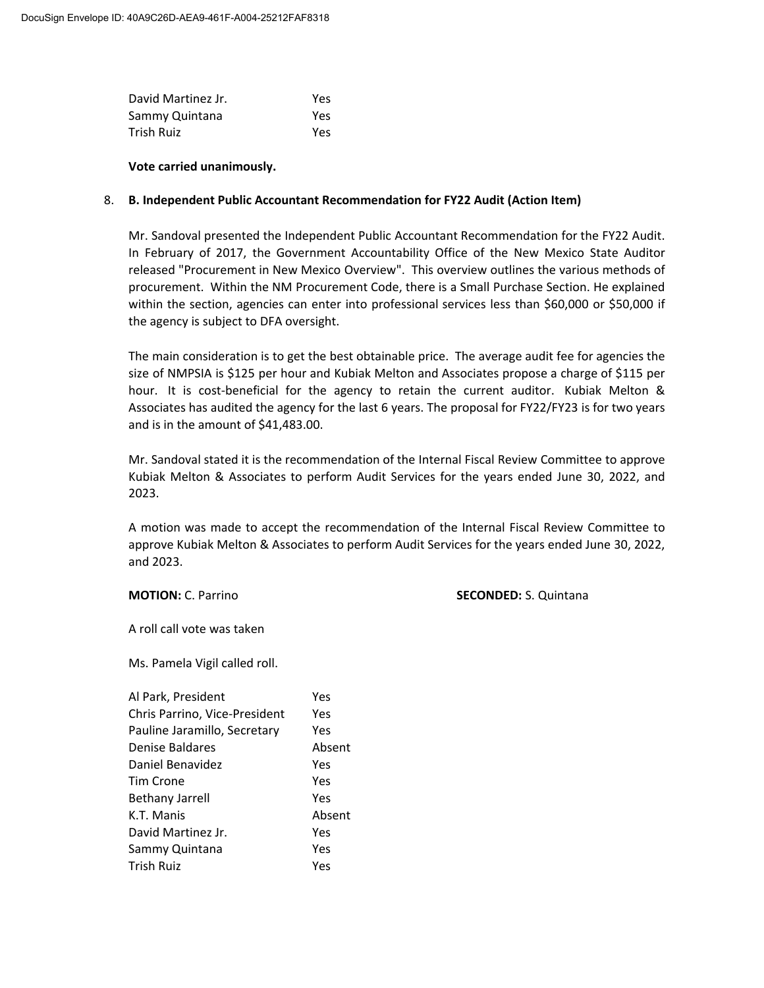| David Martinez Jr. | Yes |
|--------------------|-----|
| Sammy Quintana     | Yes |
| Trish Ruiz         | Yes |

## **Vote carried unanimously.**

# 8. **B. Independent Public Accountant Recommendation for FY22 Audit (Action Item)**

Mr. Sandoval presented the Independent Public Accountant Recommendation for the FY22 Audit. In February of 2017, the Government Accountability Office of the New Mexico State Auditor released "Procurement in New Mexico Overview". This overview outlines the various methods of procurement. Within the NM Procurement Code, there is a Small Purchase Section. He explained within the section, agencies can enter into professional services less than \$60,000 or \$50,000 if the agency is subject to DFA oversight.

The main consideration is to get the best obtainable price. The average audit fee for agencies the size of NMPSIA is \$125 per hour and Kubiak Melton and Associates propose a charge of \$115 per hour. It is cost-beneficial for the agency to retain the current auditor. Kubiak Melton & Associates has audited the agency for the last 6 years. The proposal for FY22/FY23 is for two years and is in the amount of \$41,483.00.

Mr. Sandoval stated it is the recommendation of the Internal Fiscal Review Committee to approve Kubiak Melton & Associates to perform Audit Services for the years ended June 30, 2022, and 2023.

A motion was made to accept the recommendation of the Internal Fiscal Review Committee to approve Kubiak Melton & Associates to perform Audit Services for the years ended June 30, 2022, and 2023.

**MOTION:** C. Parrino **SECONDED:** S. Quintana

A roll call vote was taken

Ms. Pamela Vigil called roll.

| Al Park, President            | Yes    |
|-------------------------------|--------|
| Chris Parrino, Vice-President | Yes    |
| Pauline Jaramillo, Secretary  | Yes    |
| Denise Baldares               | Absent |
| Daniel Benavidez              | Yes    |
| Tim Crone                     | Yes    |
| <b>Bethany Jarrell</b>        | Yes    |
| K.T. Manis                    | Absent |
| David Martinez Jr.            | Yes    |
| Sammy Quintana                | Yes    |
| <b>Trish Ruiz</b>             | Yes    |
|                               |        |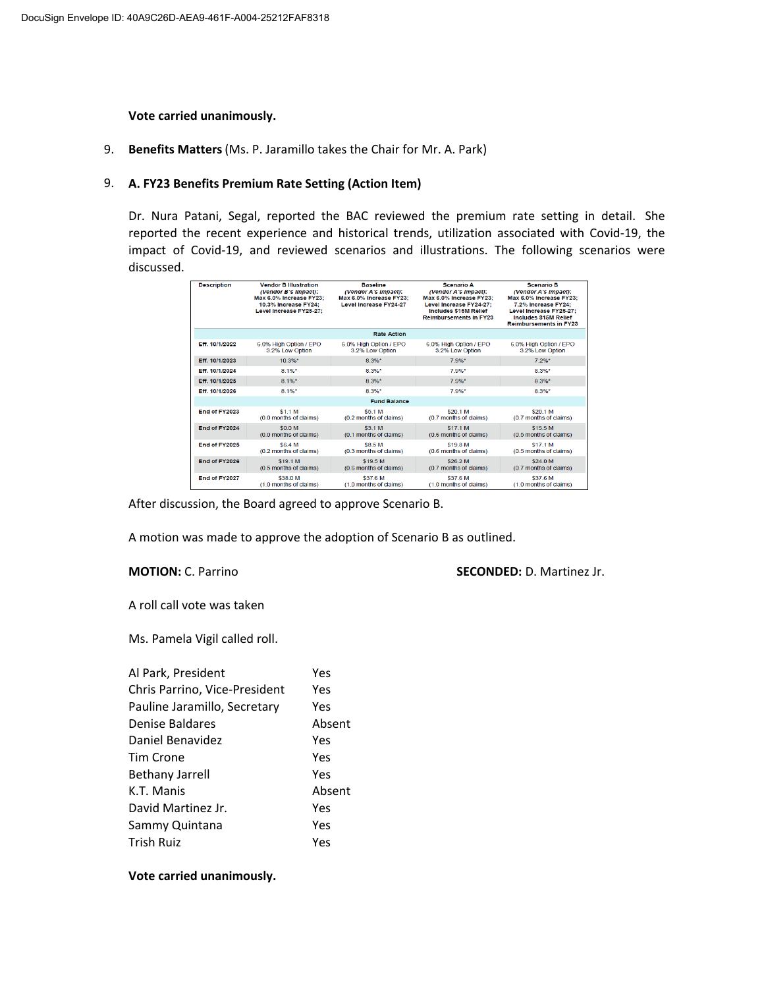### **Vote carried unanimously.**

9. **Benefits Matters**(Ms. P. Jaramillo takes the Chair for Mr. A. Park)

# 9. **A. FY23 Benefits Premium Rate Setting (Action Item)**

Dr. Nura Patani, Segal, reported the BAC reviewed the premium rate setting in detail. She reported the recent experience and historical trends, utilization associated with Covid‐19, the impact of Covid‐19, and reviewed scenarios and illustrations. The following scenarios were discussed.

| <b>Description</b> | <b>Vendor B Illustration</b><br>(Vendor B's Impact):<br>Max 6.0% Increase FY23;<br>10.3% Increase FY24:<br>Level Increase FY25-27: | <b>Baseline</b><br>(Vendor A's Impact):<br>Max 6.0% Increase FY23;<br><b>Level Increase FY24-27</b> | <b>Scenario A</b><br>(Vendor A's Impact):<br>Max 6.0% Increase FY23:<br>Level Increase FY24-27:<br><b>Includes \$15M Relief</b><br><b>Reimbursements in FY23</b> | <b>Scenario B</b><br>(Vendor A's Impact):<br>Max 6.0% Increase FY23:<br>7.2% Increase FY24:<br>Level Increase FY25-27:<br><b>Includes \$15M Relief</b><br><b>Reimbursements in FY23</b> |
|--------------------|------------------------------------------------------------------------------------------------------------------------------------|-----------------------------------------------------------------------------------------------------|------------------------------------------------------------------------------------------------------------------------------------------------------------------|-----------------------------------------------------------------------------------------------------------------------------------------------------------------------------------------|
|                    |                                                                                                                                    | <b>Rate Action</b>                                                                                  |                                                                                                                                                                  |                                                                                                                                                                                         |
| Eff. 10/1/2022     | 6.0% High Option / EPO<br>3.2% Low Option                                                                                          | 6.0% High Option / EPO<br>3.2% Low Option                                                           | 6.0% High Option / EPO<br>3.2% Low Option                                                                                                                        | 6.0% High Option / EPO<br>3.2% Low Option                                                                                                                                               |
| Eff. 10/1/2023     | $10.3\%$ *                                                                                                                         | $8.3\%$ *                                                                                           | $7.9\%$ *                                                                                                                                                        | $7.2\%$ *                                                                                                                                                                               |
| Eff. 10/1/2024     | 8 1%*                                                                                                                              | 8.3%*                                                                                               | 79%*                                                                                                                                                             | $8.3\%$ *                                                                                                                                                                               |
| Eff. 10/1/2025     | $8.1\%$ *                                                                                                                          | $8.3%$ *                                                                                            | 7.9%*                                                                                                                                                            | $8.3%$ *                                                                                                                                                                                |
| Eff. 10/1/2026     | $8.1\%$ *                                                                                                                          | $8.3%$ *                                                                                            | $7.9%$ *                                                                                                                                                         | $8.3%$ *                                                                                                                                                                                |
|                    |                                                                                                                                    | <b>Fund Balance</b>                                                                                 |                                                                                                                                                                  |                                                                                                                                                                                         |
| End of FY2023      | \$1.1 M<br>(0.0 months of claims)                                                                                                  | \$5.1 M<br>(0.2 months of claims)                                                                   | \$20.1 M<br>(0.7 months of claims)                                                                                                                               | \$20.1 M<br>(0.7 months of claims)                                                                                                                                                      |
| End of FY2024      | \$0.0 M<br>(0.0 months of claims)                                                                                                  | \$3.1 M<br>(0.1 months of claims)                                                                   | \$17.1 M<br>(0.6 months of claims)                                                                                                                               | \$15.5 M<br>(0.5 months of claims)                                                                                                                                                      |
| End of FY2025      | \$6.4 M<br>(0.2 months of claims)                                                                                                  | \$8.5 M<br>(0.3 months of claims)                                                                   | \$198M<br>(0.6 months of claims)                                                                                                                                 | \$17.1 M<br>(0.5 months of claims)                                                                                                                                                      |
| End of FY2026      | \$19.1 M<br>(0.5 months of claims)                                                                                                 | \$19.5 M<br>(0.6 months of claims)                                                                  | \$26.2 M<br>(0.7 months of claims)                                                                                                                               | \$24.0 M<br>(0.7 months of claims)                                                                                                                                                      |
| End of FY2027      | \$38.0 M<br>(1.0 months of claims)                                                                                                 | \$37.6 M<br>(1.0 months of claims)                                                                  | \$37.6 M<br>(1.0 months of claims)                                                                                                                               | \$37.6 M<br>(1.0 months of claims)                                                                                                                                                      |

After discussion, the Board agreed to approve Scenario B.

A motion was made to approve the adoption of Scenario B as outlined.

### **MOTION:** C. Parrino **SECONDED:** D. Martinez Jr.

A roll call vote was taken

Ms. Pamela Vigil called roll.

| Al Park, President            | Yes    |
|-------------------------------|--------|
| Chris Parrino, Vice-President | Yes    |
| Pauline Jaramillo, Secretary  | Yes    |
| Denise Baldares               | Absent |
| Daniel Benavidez              | Yes    |
| Tim Crone                     | Yes    |
| <b>Bethany Jarrell</b>        | Yes    |
| K.T. Manis                    | Absent |
| David Martinez Jr.            | Yes    |
| Sammy Quintana                | Yes    |
| <b>Trish Ruiz</b>             | Yes    |

## **Vote carried unanimously.**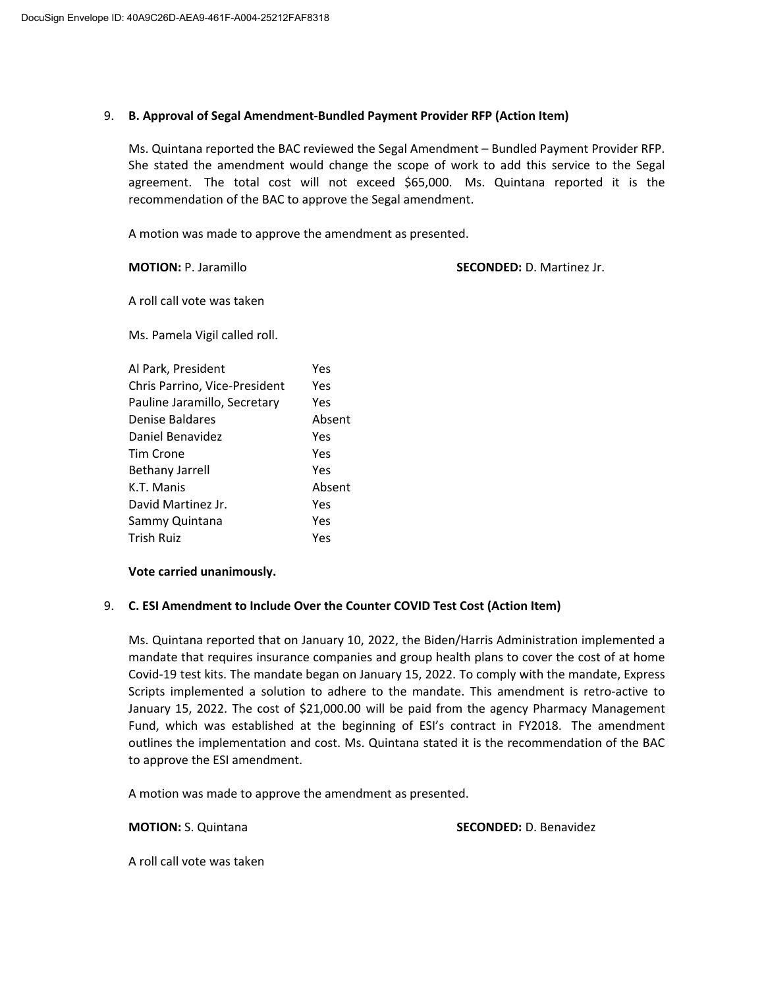# 9. **B. Approval of Segal Amendment‐Bundled Payment Provider RFP (Action Item)**

Ms. Quintana reported the BAC reviewed the Segal Amendment – Bundled Payment Provider RFP. She stated the amendment would change the scope of work to add this service to the Segal agreement. The total cost will not exceed \$65,000. Ms. Quintana reported it is the recommendation of the BAC to approve the Segal amendment.

A motion was made to approve the amendment as presented.

**MOTION:** P. Jaramillo **SECONDED:** D. Martinez Jr.

A roll call vote was taken

Ms. Pamela Vigil called roll.

| Al Park, President            | Yes    |
|-------------------------------|--------|
| Chris Parrino, Vice-President | Yes    |
| Pauline Jaramillo, Secretary  | Yes    |
| Denise Baldares               | Absent |
| Daniel Benavidez              | Yes    |
| Tim Crone                     | Yes    |
| <b>Bethany Jarrell</b>        | Yes    |
| K.T. Manis                    | Absent |
| David Martinez Jr.            | Yes    |
| Sammy Quintana                | Yes    |
| <b>Trish Ruiz</b>             | Yes    |

# **Vote carried unanimously.**

# 9. **C. ESI Amendment to Include Over the Counter COVID Test Cost (Action Item)**

Ms. Quintana reported that on January 10, 2022, the Biden/Harris Administration implemented a mandate that requires insurance companies and group health plans to cover the cost of at home Covid‐19 test kits. The mandate began on January 15, 2022. To comply with the mandate, Express Scripts implemented a solution to adhere to the mandate. This amendment is retro‐active to January 15, 2022. The cost of \$21,000.00 will be paid from the agency Pharmacy Management Fund, which was established at the beginning of ESI's contract in FY2018. The amendment outlines the implementation and cost. Ms. Quintana stated it is the recommendation of the BAC to approve the ESI amendment.

A motion was made to approve the amendment as presented.

**MOTION:** S. Quintana **SECONDED:** D. Benavidez

A roll call vote was taken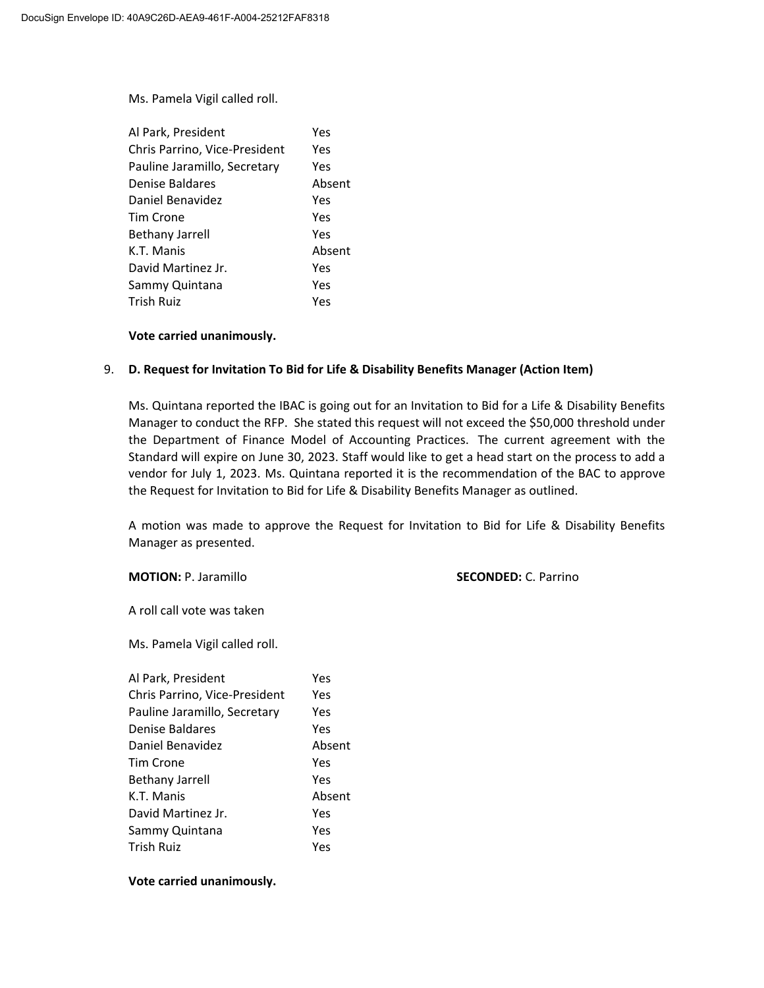Ms. Pamela Vigil called roll.

| Al Park, President            | Yes    |
|-------------------------------|--------|
| Chris Parrino, Vice-President | Yes    |
| Pauline Jaramillo, Secretary  | Yes    |
| Denise Baldares               | Absent |
| Daniel Benavidez              | Yes    |
| Tim Crone                     | Yes    |
| <b>Bethany Jarrell</b>        | Yes    |
| K.T. Manis                    | Absent |
| David Martinez Jr.            | Yes    |
| Sammy Quintana                | Yes    |
| Trish Ruiz                    | Yes    |

## **Vote carried unanimously.**

# 9. **D. Request for Invitation To Bid for Life & Disability Benefits Manager (Action Item)**

Ms. Quintana reported the IBAC is going out for an Invitation to Bid for a Life & Disability Benefits Manager to conduct the RFP. She stated this request will not exceed the \$50,000 threshold under the Department of Finance Model of Accounting Practices. The current agreement with the Standard will expire on June 30, 2023. Staff would like to get a head start on the process to add a vendor for July 1, 2023. Ms. Quintana reported it is the recommendation of the BAC to approve the Request for Invitation to Bid for Life & Disability Benefits Manager as outlined.

A motion was made to approve the Request for Invitation to Bid for Life & Disability Benefits Manager as presented.

## **MOTION:** P. Jaramillo **SECONDED:** C. Parrino

A roll call vote was taken

Ms. Pamela Vigil called roll.

| Al Park, President            | Yes    |
|-------------------------------|--------|
| Chris Parrino, Vice-President | Yes    |
| Pauline Jaramillo, Secretary  | Yes    |
| Denise Baldares               | Yes    |
| Daniel Benavidez              | Absent |
| Tim Crone                     | Yes    |
| <b>Bethany Jarrell</b>        | Yes    |
| K.T. Manis                    | Absent |
| David Martinez Jr.            | Yes    |
| Sammy Quintana                | Yes    |
| <b>Trish Ruiz</b>             | Yes    |
|                               |        |

## **Vote carried unanimously.**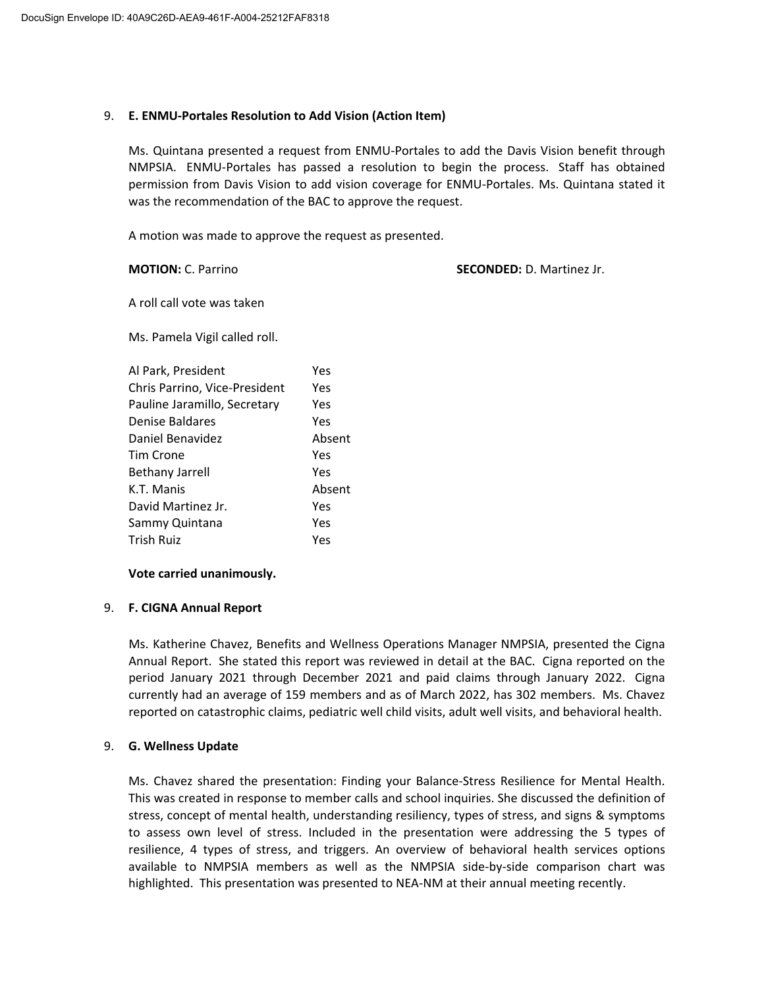# 9. **E. ENMU‐Portales Resolution to Add Vision (Action Item)**

Ms. Quintana presented a request from ENMU‐Portales to add the Davis Vision benefit through NMPSIA. ENMU‐Portales has passed a resolution to begin the process. Staff has obtained permission from Davis Vision to add vision coverage for ENMU‐Portales. Ms. Quintana stated it was the recommendation of the BAC to approve the request.

A motion was made to approve the request as presented.

**MOTION:** C. Parrino **SECONDED:** D. Martinez Jr.

A roll call vote was taken

Ms. Pamela Vigil called roll.

| Al Park, President            | Yes    |
|-------------------------------|--------|
| Chris Parrino, Vice-President | Yes    |
| Pauline Jaramillo, Secretary  | Yes    |
| Denise Baldares               | Yes    |
| Daniel Benavidez              | Absent |
| Tim Crone                     | Yes    |
| <b>Bethany Jarrell</b>        | Yes    |
| K.T. Manis                    | Absent |
| David Martinez Jr.            | Yes    |
| Sammy Quintana                | Yes    |
| <b>Trish Ruiz</b>             | Yes    |

## **Vote carried unanimously.**

# 9. **F. CIGNA Annual Report**

Ms. Katherine Chavez, Benefits and Wellness Operations Manager NMPSIA, presented the Cigna Annual Report. She stated this report was reviewed in detail at the BAC. Cigna reported on the period January 2021 through December 2021 and paid claims through January 2022. Cigna currently had an average of 159 members and as of March 2022, has 302 members. Ms. Chavez reported on catastrophic claims, pediatric well child visits, adult well visits, and behavioral health.

# 9. **G. Wellness Update**

Ms. Chavez shared the presentation: Finding your Balance‐Stress Resilience for Mental Health. This was created in response to member calls and school inquiries. She discussed the definition of stress, concept of mental health, understanding resiliency, types of stress, and signs & symptoms to assess own level of stress. Included in the presentation were addressing the 5 types of resilience, 4 types of stress, and triggers. An overview of behavioral health services options available to NMPSIA members as well as the NMPSIA side‐by‐side comparison chart was highlighted. This presentation was presented to NEA‐NM at their annual meeting recently.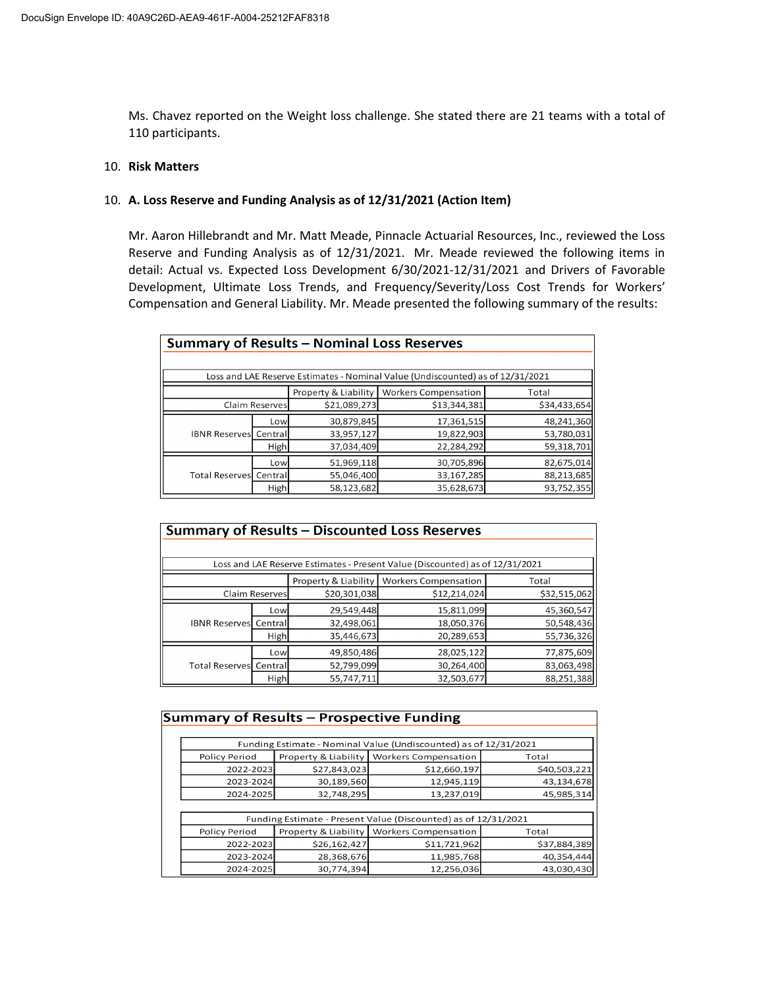Ms. Chavez reported on the Weight loss challenge. She stated there are 21 teams with a total of 110 participants.

## 10. **Risk Matters**

## 10. **A. Loss Reserve and Funding Analysis as of 12/31/2021 (Action Item)**

Mr. Aaron Hillebrandt and Mr. Matt Meade, Pinnacle Actuarial Resources, Inc., reviewed the Loss Reserve and Funding Analysis as of 12/31/2021. Mr. Meade reviewed the following items in detail: Actual vs. Expected Loss Development 6/30/2021‐12/31/2021 and Drivers of Favorable Development, Ultimate Loss Trends, and Frequency/Severity/Loss Cost Trends for Workers' Compensation and General Liability. Mr. Meade presented the following summary of the results:

| <b>Summary of Results - Nominal Loss Reserves</b>            |             |              |                                                                                |              |  |
|--------------------------------------------------------------|-------------|--------------|--------------------------------------------------------------------------------|--------------|--|
|                                                              |             |              |                                                                                |              |  |
|                                                              |             |              | Loss and LAE Reserve Estimates - Nominal Value (Undiscounted) as of 12/31/2021 |              |  |
| Property & Liability<br><b>Workers Compensation</b><br>Total |             |              |                                                                                |              |  |
| <b>Claim Reserves</b>                                        |             | \$21,089,273 | \$13,344,381                                                                   | \$34,433,654 |  |
| <b>IBNR Reserves</b> Central                                 | Low         | 30,879,845   | 17,361,515                                                                     | 48,241,360   |  |
|                                                              |             | 33,957,127   | 19,822,903                                                                     | 53,780,031   |  |
|                                                              | <b>High</b> | 37,034,409   | 22,284,292                                                                     | 59,318,701   |  |
| <b>Total Reserves</b> Central                                | Low         | 51,969,118   | 30,705,896                                                                     | 82,675,014   |  |
|                                                              |             | 55,046,400   | 33,167,285                                                                     | 88,213,685   |  |
|                                                              | <b>High</b> | 58,123,682   | 35,628,673                                                                     | 93,752,355   |  |

| Summary of Results - Discounted Loss Reserves |                                                              |              |                                                                              |              |  |  |  |
|-----------------------------------------------|--------------------------------------------------------------|--------------|------------------------------------------------------------------------------|--------------|--|--|--|
|                                               |                                                              |              |                                                                              |              |  |  |  |
|                                               |                                                              |              | Loss and LAE Reserve Estimates - Present Value (Discounted) as of 12/31/2021 |              |  |  |  |
|                                               | Property & Liability<br><b>Workers Compensation</b><br>Total |              |                                                                              |              |  |  |  |
| <b>Claim Reserves</b>                         |                                                              | \$20,301,038 | \$12,214,024                                                                 | \$32,515,062 |  |  |  |
|                                               | Low                                                          | 29,549,448   | 15,811,099                                                                   | 45,360,547   |  |  |  |
| <b>IBNR Reserves</b> Central                  |                                                              | 32,498,061   | 18,050,376                                                                   | 50,548,436   |  |  |  |
|                                               | High                                                         | 35,446,673   | 20,289,653                                                                   | 55,736,326   |  |  |  |
|                                               | Low                                                          | 49,850,486   | 28,025,122                                                                   | 77,875,609   |  |  |  |
| <b>Total Reservesl Central</b>                |                                                              | 52,799,099   | 30,264,400                                                                   | 83,063,498   |  |  |  |
|                                               | High                                                         | 55,747,711   | 32,503,677                                                                   | 88,251,388   |  |  |  |

| <b>Summary of Results - Prospective Funding</b> |                                                                |                      |                                                                  |              |  |  |
|-------------------------------------------------|----------------------------------------------------------------|----------------------|------------------------------------------------------------------|--------------|--|--|
|                                                 |                                                                |                      |                                                                  |              |  |  |
|                                                 |                                                                |                      | Funding Estimate - Nominal Value (Undiscounted) as of 12/31/2021 |              |  |  |
|                                                 | <b>Policy Period</b>                                           | Property & Liability | <b>Workers Compensation</b>                                      | Total        |  |  |
|                                                 | 2022-2023                                                      | \$27,843,023         | \$12,660,197                                                     | \$40,503,221 |  |  |
|                                                 | 2023-2024                                                      | 30,189,560           | 12,945,119                                                       | 43,134,678   |  |  |
|                                                 | 2024-2025                                                      | 32,748,295           | 13,237,019                                                       | 45,985,314   |  |  |
|                                                 |                                                                |                      |                                                                  |              |  |  |
|                                                 | Funding Estimate - Present Value (Discounted) as of 12/31/2021 |                      |                                                                  |              |  |  |
|                                                 | <b>Policy Period</b>                                           |                      | Property & Liability   Workers Compensation                      | Total        |  |  |
|                                                 | 2022-2023                                                      | \$26,162,427         | \$11,721,962                                                     | \$37,884,389 |  |  |
|                                                 | 2023-2024                                                      | 28,368,676           | 11,985,768                                                       | 40,354,444   |  |  |
|                                                 | 2024-2025                                                      | 30,774,394           | 12,256,036                                                       | 43,030,430   |  |  |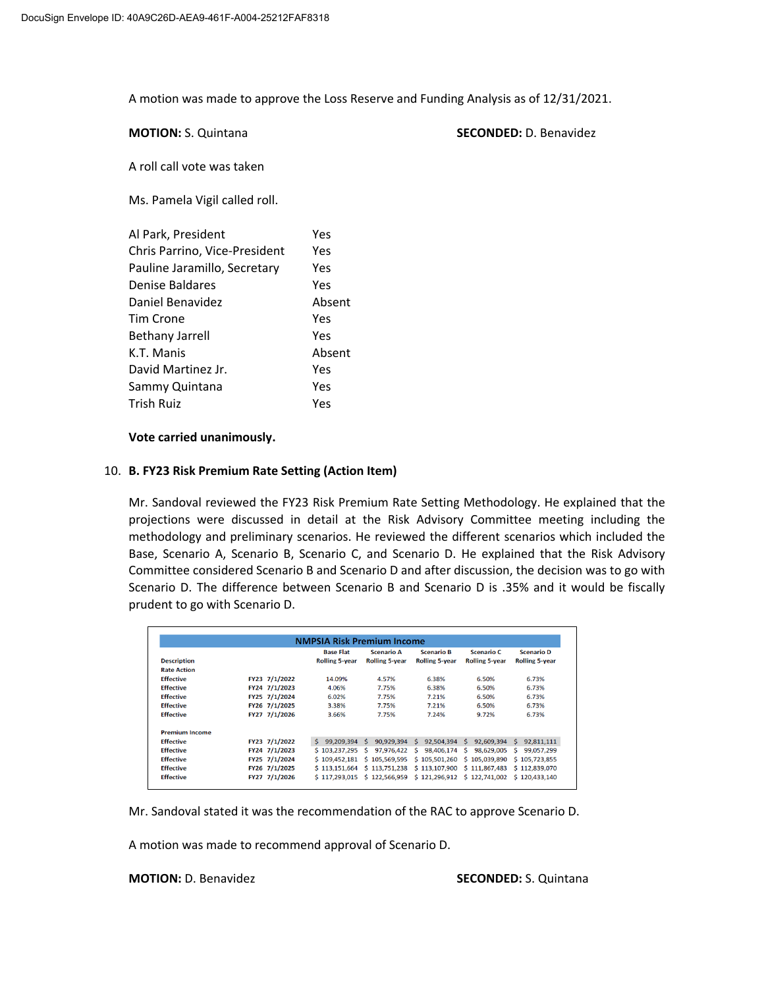A motion was made to approve the Loss Reserve and Funding Analysis as of 12/31/2021.

**MOTION:** S. Quintana **SECONDED:** D. Benavidez

A roll call vote was taken

Ms. Pamela Vigil called roll.

| Al Park, President            | Yes    |
|-------------------------------|--------|
| Chris Parrino, Vice-President | Yes    |
| Pauline Jaramillo, Secretary  | Yes    |
| Denise Baldares               | Yes    |
| Daniel Benavidez              | Absent |
| Tim Crone                     | Yes    |
| <b>Bethany Jarrell</b>        | Yes    |
| K.T. Manis                    | Absent |
| David Martinez Jr.            | Yes    |
| Sammy Quintana                | Yes    |
| <b>Trish Ruiz</b>             | Yes    |

## **Vote carried unanimously.**

# 10. **B. FY23 Risk Premium Rate Setting (Action Item)**

Mr. Sandoval reviewed the FY23 Risk Premium Rate Setting Methodology. He explained that the projections were discussed in detail at the Risk Advisory Committee meeting including the methodology and preliminary scenarios. He reviewed the different scenarios which included the Base, Scenario A, Scenario B, Scenario C, and Scenario D. He explained that the Risk Advisory Committee considered Scenario B and Scenario D and after discussion, the decision was to go with Scenario D. The difference between Scenario B and Scenario D is .35% and it would be fiscally prudent to go with Scenario D.

| <b>NMPSIA Risk Premium Income</b> |               |                       |                       |                                           |                       |                       |
|-----------------------------------|---------------|-----------------------|-----------------------|-------------------------------------------|-----------------------|-----------------------|
|                                   |               | <b>Base Flat</b>      | <b>Scenario A</b>     | <b>Scenario B</b>                         | <b>Scenario C</b>     | <b>Scenario D</b>     |
| <b>Description</b>                |               | <b>Rolling 5-year</b> | <b>Rolling 5-year</b> | <b>Rolling 5-year</b>                     | <b>Rolling 5-year</b> | <b>Rolling 5-year</b> |
| <b>Rate Action</b>                |               |                       |                       |                                           |                       |                       |
| <b>Effective</b>                  | FY23 7/1/2022 | 14.09%                | 4.57%                 | 6.38%                                     | 6.50%                 | 6.73%                 |
| <b>Effective</b>                  | FY24 7/1/2023 | 4.06%                 | 7.75%                 | 6.38%                                     | 6.50%                 | 6.73%                 |
| <b>Effective</b>                  | FY25 7/1/2024 | 6.02%                 | 7.75%                 | 7.21%                                     | 6.50%                 | 6.73%                 |
| <b>Effective</b>                  | FY26 7/1/2025 | 3.38%                 | 7.75%                 | 7.21%                                     | 6.50%                 | 6.73%                 |
| <b>Effective</b>                  | FY27 7/1/2026 | 3.66%                 | 7.75%                 | 7.24%                                     | 9.72%                 | 6.73%                 |
| <b>Premium Income</b>             |               |                       |                       |                                           |                       |                       |
| <b>Effective</b>                  | FY23 7/1/2022 | \$99,209,394          | 90,929,394<br>s.      | .s<br>92,504,394                          | s.<br>92,609,394      | 92,811,111<br>s.      |
| <b>Effective</b>                  | FY24 7/1/2023 | \$103,237,295         | 97,976,422<br>s.      | 98,406,174<br>-S                          | s<br>98,629,005       | 99,057,299<br>s.      |
| <b>Effective</b>                  | FY25 7/1/2024 | \$109,452,181         | \$105,569,595         | \$105,501,260                             | \$105,039,890         | \$105,723,855         |
| <b>Effective</b>                  | FY26 7/1/2025 | \$113,151,664         | \$113,751,238         | \$113,107,900                             | \$111,867,483         | \$112,839,070         |
| <b>Effective</b>                  | FY27 7/1/2026 | \$117.293.015         |                       | \$122,566.959 \$121,296.912 \$122,741.002 |                       | \$120.433.140         |

Mr. Sandoval stated it was the recommendation of the RAC to approve Scenario D.

A motion was made to recommend approval of Scenario D.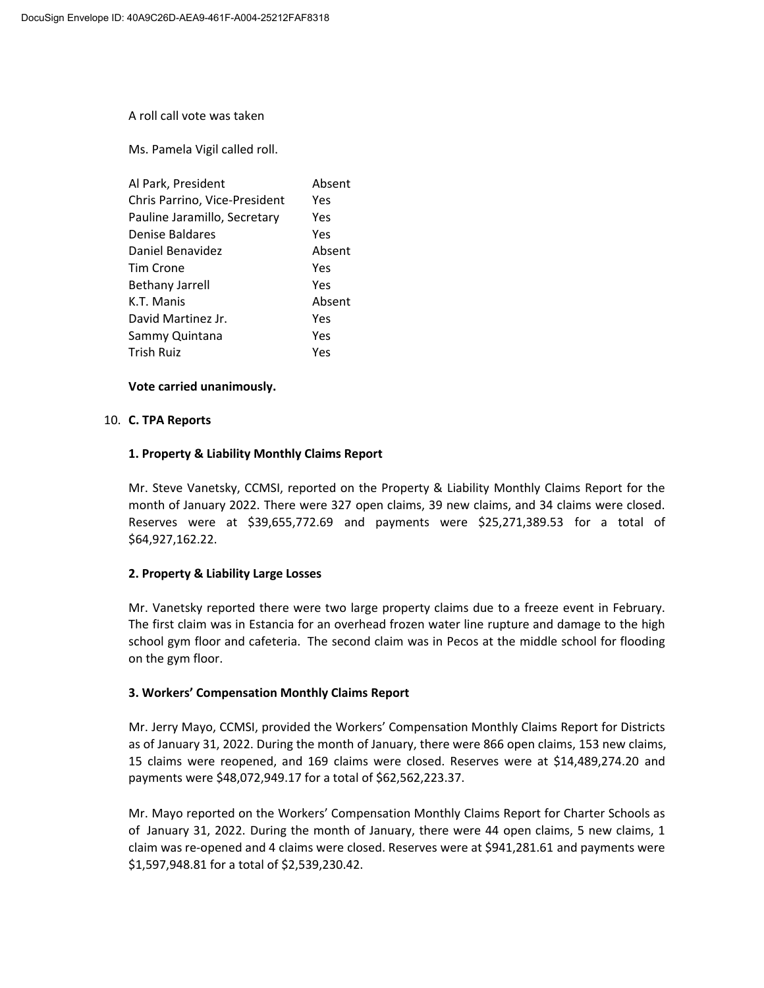A roll call vote was taken

Ms. Pamela Vigil called roll.

| Al Park, President            | Absent |
|-------------------------------|--------|
| Chris Parrino, Vice-President | Yes    |
| Pauline Jaramillo, Secretary  | Yes    |
| Denise Baldares               | Yes    |
| Daniel Benavidez              | Absent |
| Tim Crone                     | Yes    |
| <b>Bethany Jarrell</b>        | Yes    |
| K.T. Manis                    | Absent |
| David Martinez Jr.            | Yes    |
| Sammy Quintana                | Yes    |
| <b>Trish Ruiz</b>             | Yes    |

## **Vote carried unanimously.**

## 10. **C. TPA Reports**

## **1. Property & Liability Monthly Claims Report**

Mr. Steve Vanetsky, CCMSI, reported on the Property & Liability Monthly Claims Report for the month of January 2022. There were 327 open claims, 39 new claims, and 34 claims were closed. Reserves were at \$39,655,772.69 and payments were \$25,271,389.53 for a total of \$64,927,162.22.

## **2. Property & Liability Large Losses**

Mr. Vanetsky reported there were two large property claims due to a freeze event in February. The first claim was in Estancia for an overhead frozen water line rupture and damage to the high school gym floor and cafeteria. The second claim was in Pecos at the middle school for flooding on the gym floor.

# **3. Workers' Compensation Monthly Claims Report**

Mr. Jerry Mayo, CCMSI, provided the Workers' Compensation Monthly Claims Report for Districts as of January 31, 2022. During the month of January, there were 866 open claims, 153 new claims, 15 claims were reopened, and 169 claims were closed. Reserves were at \$14,489,274.20 and payments were \$48,072,949.17 for a total of \$62,562,223.37.

Mr. Mayo reported on the Workers' Compensation Monthly Claims Report for Charter Schools as of January 31, 2022. During the month of January, there were 44 open claims, 5 new claims, 1 claim was re‐opened and 4 claims were closed. Reserves were at \$941,281.61 and payments were \$1,597,948.81 for a total of \$2,539,230.42.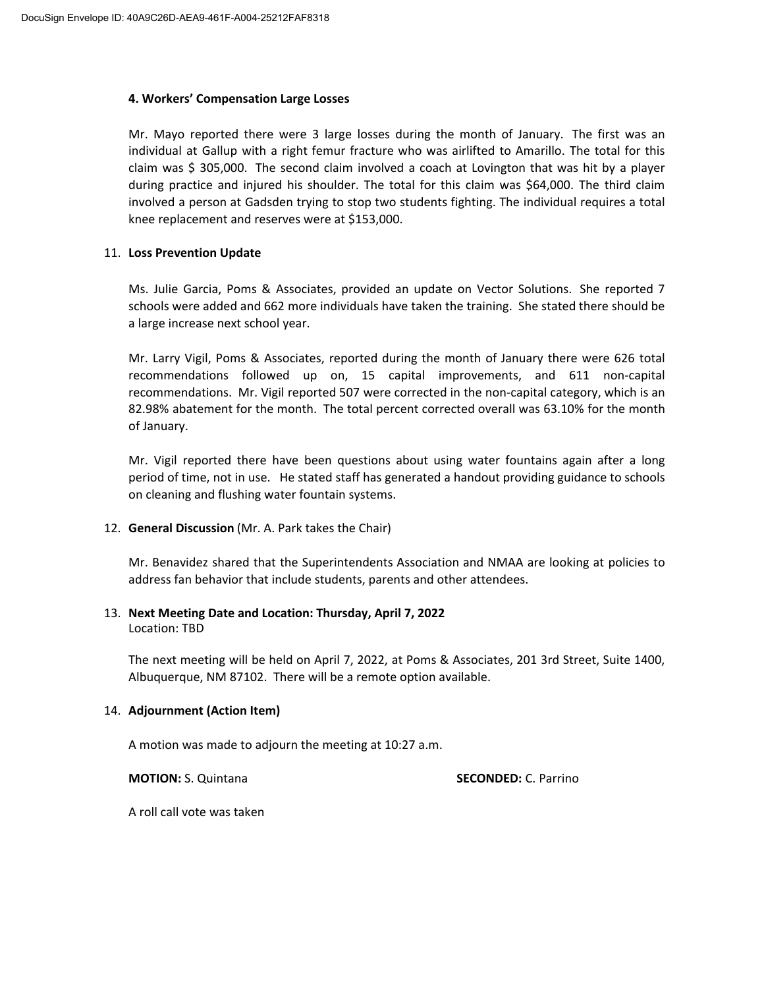## **4. Workers' Compensation Large Losses**

Mr. Mayo reported there were 3 large losses during the month of January. The first was an individual at Gallup with a right femur fracture who was airlifted to Amarillo. The total for this claim was \$ 305,000. The second claim involved a coach at Lovington that was hit by a player during practice and injured his shoulder. The total for this claim was \$64,000. The third claim involved a person at Gadsden trying to stop two students fighting. The individual requires a total knee replacement and reserves were at \$153,000.

# 11. **Loss Prevention Update**

Ms. Julie Garcia, Poms & Associates, provided an update on Vector Solutions. She reported 7 schools were added and 662 more individuals have taken the training. She stated there should be a large increase next school year.

Mr. Larry Vigil, Poms & Associates, reported during the month of January there were 626 total recommendations followed up on, 15 capital improvements, and 611 non‐capital recommendations. Mr. Vigil reported 507 were corrected in the non‐capital category, which is an 82.98% abatement for the month. The total percent corrected overall was 63.10% for the month of January.

Mr. Vigil reported there have been questions about using water fountains again after a long period of time, not in use. He stated staff has generated a handout providing guidance to schools on cleaning and flushing water fountain systems.

# 12. **General Discussion** (Mr. A. Park takes the Chair)

Mr. Benavidez shared that the Superintendents Association and NMAA are looking at policies to address fan behavior that include students, parents and other attendees.

### 13. **Next Meeting Date and Location: Thursday, April 7, 2022** Location: TBD

The next meeting will be held on April 7, 2022, at Poms & Associates, 201 3rd Street, Suite 1400, Albuquerque, NM 87102. There will be a remote option available.

# 14. **Adjournment (Action Item)**

A motion was made to adjourn the meeting at 10:27 a.m.

**MOTION:** S. Quintana **SECONDED:** C. Parrino

A roll call vote was taken